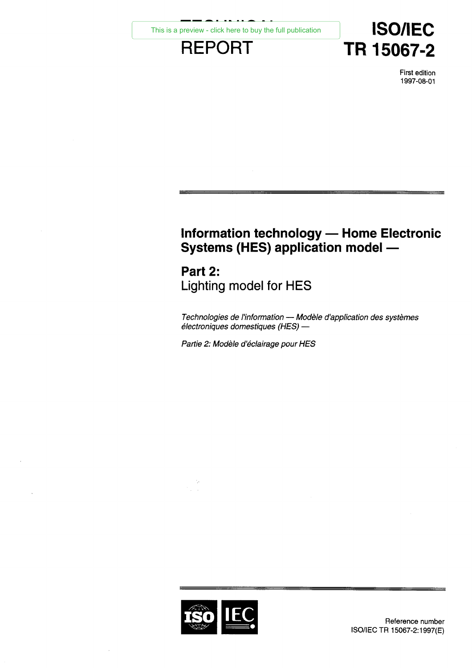# **TR 15067-2**<br>
FIEPORT TR 15067-2<br>
First edition<br>
1997-08-01 **REPORT**<br> **REPORT**<br> **REPORT**<br>
First edition<br>
1997-08-01

First edition 1997-08-01

# **Information technology — Home Electronic Systems (HES) application model —**

# Part 2: Lighting model for HES

*Technologies de l'information — Modèle d'application des systèmes électroniques domestiques (HES) —*

*Partie 2: Modèle d'éclairage pour HES*

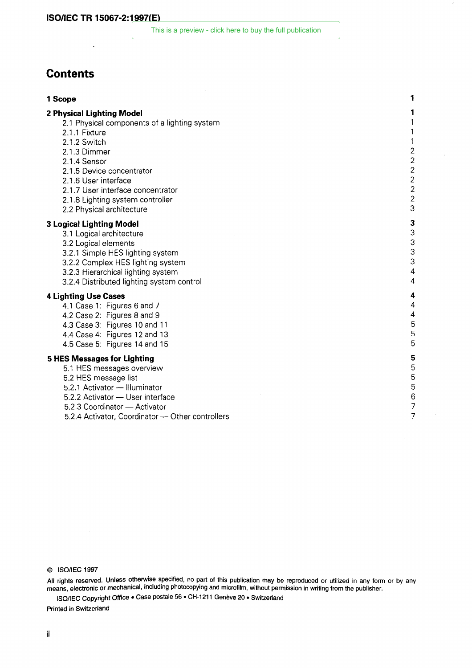# **Contents**

- **1 SO/IEC TR 15067-2:1997(E)**<br>
This is a preview click here to buy the full publication<br> **1 Scope**<br> **1 Sope<br>
2 Physical Lighting Model**<br>
2.1 Physical components of a lighting system<br>
1 **2 Physical Lighting Model**<br> **2 Physical Lighting Model**<br> **2 Physical Lighting Model**<br>
2 Physical Lighting Model<br>
2 Physical Components of a lighting system<br>
2.1.1 Fixture<br>
2.1.1 Fixture<br>
2.1.2 Switch **Tents**<br> **Solution:**<br> **Example 12.1** Physical components of a lighting system<br>
2.1.1 Fixture<br>
2.1.1 Switch<br>
2.1.2 Switch<br>
2.1.3 Dimmer<br>
2.1.4 Sensor<br>
2.1.5 Device concentrator<br>
2.1.5 User interface<br>
2.1.7 User interface co **ndents**<br> **ope**<br> **ysical Lighting Model**<br>
2.1 Physical components of a lighting system<br>
2.1.1 Eixture<br>
2.1.2 Switch<br>
2.1.3 Dimmer<br>
2.1.3 Dimmer<br>
2.1.5 Device concentrator<br>
2.1.5 User interface<br>
2.1.5 User interface<br>
2.1.8 **ndents**<br> **ope**<br> **ysical Lighting Model**<br>
2.1 Physical components of a lighting system<br>
2.1.1 Fixture<br>
2.1.2 Switch<br>
2.1.3 Dimmer<br>
2.1.4 Sensor<br>
2.1.5 Device concentrator<br>
2.1.5 Device concentrator<br>
2.1.5 User interface<br>
2 **neters**<br> **pysical Lighting Model**<br> **2.1.2 Evided components of a lighting system<br>
2.1.1 Fixture<br>
2.1.2 Switch<br>
2.1.3 Dimmer<br>
2.1.4 Seasor<br>
2.1.5 Device concentrator<br>
2.1.5 Device concentrator<br>
2.1.5 Lighting system contro** 1<br>
1<br>
1<br>
2.1.2 Empiscial Components of a lighting system<br>
2.1.1 Fixture<br>
2.1.2 Switch<br>
1<br>
2.1.3 Dimmer<br>
2.1.5 Device concentrator<br>
2.1.5 Device concentrator<br>
2.1.5 User interface<br>
2.1.7 User interface<br>
2.1.7 User interface ope<br>
1<br>
1<br>
2.1 Physical components of a lighting system<br>
2.1.1 Fixture<br>
2.1.2 Switch<br>
2.1.3 Dimmer<br>
2.1.3 Device concentrator<br>
2.1.5 Device concentrator<br>
2.1.5 User interface<br>
2.1.7 User interface<br>
2.1.7 User interface<br>
2. **1 Scope**<br> **2 Physical Lighting Model**<br> **3.1** Physical components of a lighting system<br> **3.1.1 Eixture**<br> **3.1.2 Summer**<br> **3.1.3 Dimmer**<br> **3.1.5 Device concentrator**<br> **3.1.5 User interface<br>
2.1.5 Device concentrator<br>
<b>3.1.8 ysical Lighting Model**<br>
2.1 Physical components of a lighting system<br>
2.1.1 Eixture<br>
2.1.2 Switch<br>
2.1.3 Dimmer<br>
2.1.3 Dimmer<br>
2.1.5 Device concentrator<br>
2.1.5 User interface<br>
2.1.7 User interface<br>
2.1.7 User interface<br>
2 2.1 Physical components of a lighting system<br>
2.1.1 Eixtuch<br>
2.1.2 Switch<br>
2.1.3 Dimmer<br>
2.1.3 Dimmer<br>
2.1.5 Device concentrator<br>
2.1.5 Device concentrator<br>
2.1.5 User interface<br>
2.1.5 User interface<br>
2.1.5 User interface<br>
	-
	-
	-
	-
	-
	-
	-
	-
	-

- 
- 
- 
- 
- 
- 2.1.1 Fixture<br>
2.1.2 Switch<br>
2.1.3 Dimmer<br>
2.1.3 Dimmer<br>
2.1.5 Device concentrator<br>
2.1.5 Device concentrator<br>
2.1.5 Device concentrator<br>
2.1.5 Lighting system controller<br>
3.2 Physical architecture<br>
3.2 Dejainting Model<br>
3 2.1.2 Switch<br>
2.1.3 Dimmer<br>
2.1.5 Device concentrator<br>
2.1.5 Device concentrator<br>
2.1.5 Device concentrator<br>
2.1.5 User interface<br>
2.1.7 User interface<br>
2.2 Physical architecture<br>
2.2 Physical architecture<br>
3.2 Logical ele 2.1.3 Dimmer<br>
2.1.4 Sensor<br>
2.1.5 Device concentrator<br>
2.1.5 User interface<br>
2.1.7 User interface<br>
2.1.7 User interface<br>
2.2 Physical architecture<br>
2.2 Physical architecture<br>
3.2 Logical elements<br>
3.2 Logical elements<br>
3.2 2.1.4 Sensor<br>
2.1.5 Device concentrator<br>
2.1.5 User interface<br>
2.1.7 User interface<br>
2.1.7 User interface concentrator<br>
2.1.8 Lighting system controller<br>
2.2 Physical architecture<br>
3.2 Logical elements<br>
3.2 Logical element 2.1.6 Device concentrator<br>
2.1.6 Descriptedrace<br>
2.1.7 User interface<br>
2.1.8 Lighting system controller<br>
3.1 Logical architecture<br>
3.2 Logical architecture<br>
3.2.1 Simple HES lighting system<br>
3.2.1 Simple HES lighting syste 2.1.5 User interace<br>
2.1.7 User interface concentrator<br>
2.1.8 Lighting system controller<br> **gical Lighting Model**<br>
3.3 Logical architecture<br>
3.2 Logical elements<br>
3.2.1 Simple HES lighting system<br>
3.2.2 Complex HES lighting 2.1.9 User interacte concentrator and 2.1.8 Lighting system controller and 1 Lighting Model 3.1 Logical achitecture and 2 Logical achitecture and 2 Logical elements and 2 Logical elements and 2 Case 2: Figures 8 and 9 4.3 2.1.8 Lighting system controller<br>
and Lighting Model<br>
3.1 Logical architecture<br>
3.2 Logical elements<br>
3.2.1 Simple HES lighting system<br>
3.2.2 Complex HES lighting system<br>
3.2.4 Distributed lighting system<br>
4.2 Case 3: Figu 2.2 Physical architecture<br>
3.2 Logical achitecture<br>
3.2 Logical elements<br>
3.2.1 Simple HES lighting system<br>
3.2.2 Complex HES lighting system<br>
3.2.2 Complex HES lighting system<br>
3.2.3 Hierarchical lighting system<br>
4.2 Case **gical Lighting Model**<br>
3.1 Logical architecture<br>
3.2 Logical elements<br>
3.2.2 Complex HES lighting system<br>
3.2.2 Complex HES lighting system<br>
3.2.3 Hierarchical lighting system<br>
4.2 Case 2: Figures 6 and 7<br>
4.4 Case 2: Fig **5.1 Logical architective**<br> **5.2 Logical elements**<br> **5.2.2 Complex HES lighting system**<br> **5.2.3 Herachited lighting system**<br> **5.2.4 Distributed lighting system**<br> **4.2 Case 5**<br> **4.1 Case 1: Figures 6 and 7**<br> **4.2 Case 2: Fi** 3.2 Logical elements<br>
3.2.1 Simple HES lighting system<br>
3.2.1 Simple HES lighting system<br>
3.2.3 Hierarchical lighting system<br>
3.2.3 Hierarchical lighting system<br>
4.1 Case 1: Figures 6 and 7<br>
4.1 Case 1: Figures 6 and 7<br>
4. 5.2.1 Simple HES lighting system<br>
3.2.2 Complex HES lighting system<br>
3.2.3 Hierarchical lighting system<br>
3.2.3 Hierarchical lighting system control<br> **hting Use Cases**<br>
4.1 Case 2: Figures 6 and 7<br>
4.2 Case 2: Figures 10 an

- 
- 
- 
- 
- 

- 
- 
- 
- 
- 
- 5.2.2 Activate lighting system<br>
3.2.3 Hierarchical lighting system<br>
4.2.2 Actis dighting system control<br> **hting Use Cases**<br>
4.1 Case 1: Figures 6 and 7<br>
4.2 Case 2: Figures 12 and 11<br>
4.3 Case 3: Figures 12 and 11<br>
4.5 Cas 5.2.3 Hierarchical lighting system<br> **htmg Use Cases**<br> **htmg Use Cases**<br> **1.1 Case 2: Figures 6 and 7**<br> **4.2 Case 2: Figures 6 and 7**<br> **4.2 Case 2: Figures 8 and 9**<br> **4.3 Case 3: Figures 12 and 13**<br> **5.5 Messages for Lighti** 5.2.4 Distributed lighting system control<br>
1.1 Case 1: Figures 6 and 7<br>
1.2 Case 2: Figures 8 and 9<br>
1.3 Case 3: Figures 10 and 11<br>
1.4 Case 4: Figures 12 and 13<br>
5<br>
5.5 Messages for Lighting<br>
5.1 HES messages overview<br>
5. hting Use Cases<br>
1.1 Case 1: Figures 6 and 7<br>
1.2 Case 2: Figures 10 and 11<br>
1.3 Case 3: Figures 12 and 13<br>
1.4 Case 4: Figures 12 and 13<br>
5<br>
5 Messages for Lighting<br>
5.1 HES messages overview<br>
5.2 Activator — Illuminator<br>

All rights reserved. Unless otherwise specified, no part of this publication may be reproduced or utilized in any form or by any means, electronic or mechanical, including photocopying and microfilm, without permission in writing from the publisher.

ISO/IEC Copyright Office • Case postale 56 • CH-1211 Genève 20 • Switzerland

Printed in Switzerland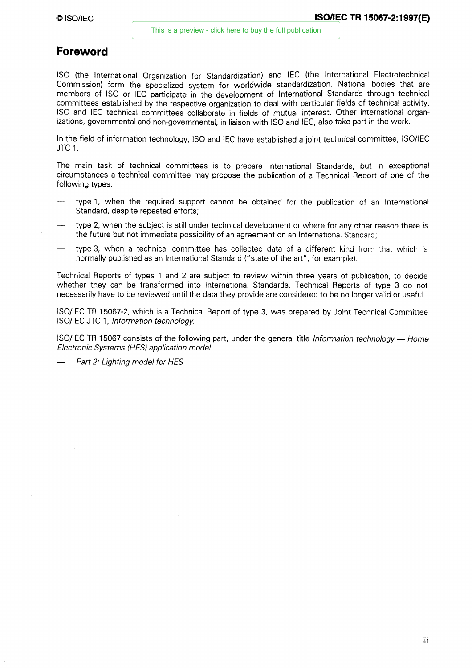## **Foreword**

ISO (the International Organization for Standardization) and IEC (the International Electrotechnical Commission) form the specialized system for worldwide standardization. National bodies that are members of ISO or IEC participate in the development of International Standards through technical committees established by the respective organization to deal with particular fields of technical activity. ISO and IEC technical committees collaborate in fields of mutual interest. Other international organizations, governmental and non-governmental, in liaison with ISO and IEC, also take part in the work.

In the field of information technology, ISO and IEC have established a joint technical committee, ISO/IEC JTC 1.

The main task of technical committees is to prepare International Standards, but in exceptional circumstances a technical committee may propose the publication of a Technical Report of one of the following types:

- type 1, when the required support cannot be obtained for the publication of an International Standard, despite repeated efforts;
- type 2, when the subject is still under technical development or where for any other reason there is the future but not immediate possibility of an agreement on an International Standard;
- type 3, when a technical committee has collected data of a different kind from that which is normally published as an International Standard ("state of the art", for example).

Technical Reports of types 1 and 2 are subject to review within three years of publication, to decide whether they can be transformed into International Standards. Technical Reports of type 3 do not necessarily have to be reviewed until the data they provide are considered to be no longer valid or useful.

ISO/IEC TR 15067-2, which is a Technical Report of type 3, was prepared by Joint Technical Committee ISO/IEC JTC 1, *Information technology.*

ISO/IEC TR 15067 consists of the following part, under the general title *Information technology— Home Electronic Systems (HES) application model.*

*— Part 2: Lighting model for HES*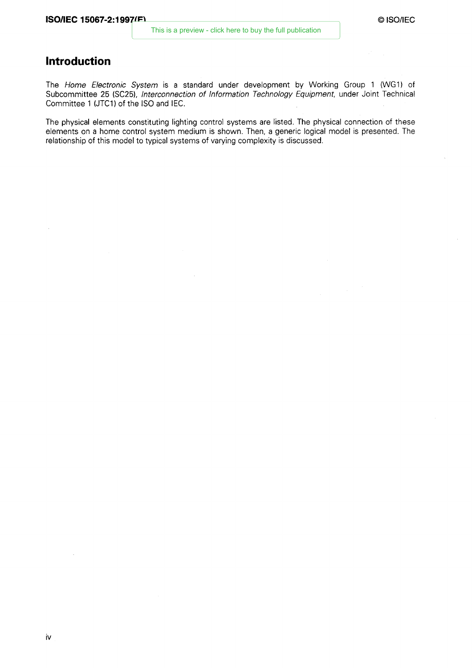# **Introduction**

The *Home Electronic System is a* standard under development by Working Group 1 (WG1) of Subcommittee 25 (SC25), *Interconnection of Information Technology Equipment,* under Joint Technical Committee 1 (JTC1) of the ISO and IEC.

The physical elements constituting lighting control systems are listed. The physical connection of these elements on a home control system medium is shown. Then, a generic logical model is presented. The relationship of this model to typical systems of varying complexity is discussed.